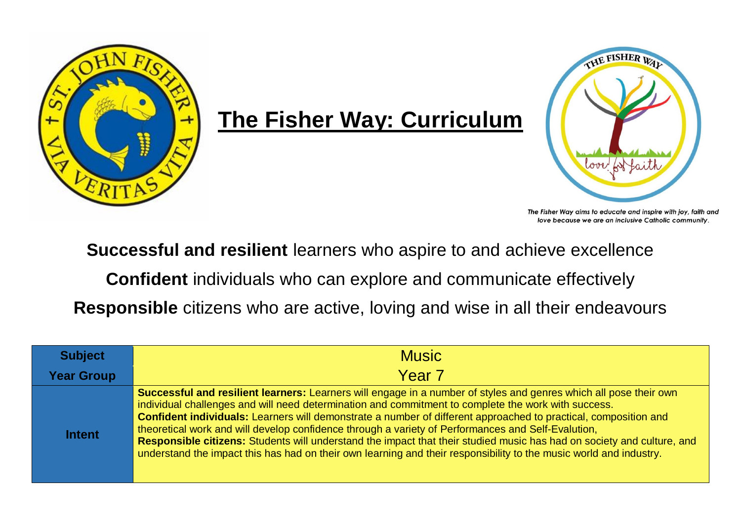

## **The Fisher Way: Curriculum**



The Fisher Way aims to educate and inspire with joy, faith and love because we are an inclusive Catholic community.

**Successful and resilient** learners who aspire to and achieve excellence

**Confident** individuals who can explore and communicate effectively

**Responsible** citizens who are active, loving and wise in all their endeavours

| <b>Subject</b>    | <b>Music</b>                                                                                                                                                                                                                                                                                                                                                                                                                                                                                                                                                                                                                                                                                      |
|-------------------|---------------------------------------------------------------------------------------------------------------------------------------------------------------------------------------------------------------------------------------------------------------------------------------------------------------------------------------------------------------------------------------------------------------------------------------------------------------------------------------------------------------------------------------------------------------------------------------------------------------------------------------------------------------------------------------------------|
| <b>Year Group</b> | Year <sub>7</sub>                                                                                                                                                                                                                                                                                                                                                                                                                                                                                                                                                                                                                                                                                 |
| <b>Intent</b>     | Successful and resilient learners: Learners will engage in a number of styles and genres which all pose their own<br>individual challenges and will need determination and commitment to complete the work with success.<br>Confident individuals: Learners will demonstrate a number of different approached to practical, composition and<br>theoretical work and will develop confidence through a variety of Performances and Self-Evalution,<br>Responsible citizens: Students will understand the impact that their studied music has had on society and culture, and<br>understand the impact this has had on their own learning and their responsibility to the music world and industry. |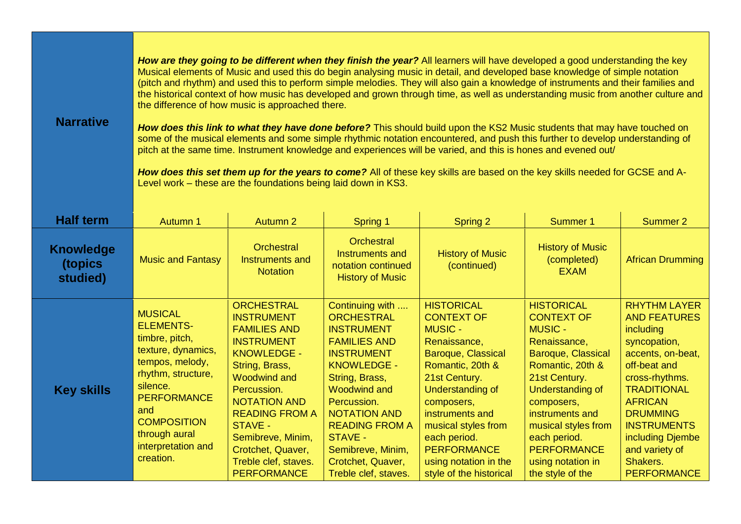| <b>Narrative</b>                        | How are they going to be different when they finish the year? All learners will have developed a good understanding the key<br>Musical elements of Music and used this do begin analysing music in detail, and developed base knowledge of simple notation<br>(pitch and rhythm) and used this to perform simple melodies. They will also gain a knowledge of instruments and their families and<br>the historical context of how music has developed and grown through time, as well as understanding music from another culture and<br>the difference of how music is approached there.<br>How does this link to what they have done before? This should build upon the KS2 Music students that may have touched on<br>some of the musical elements and some simple rhythmic notation encountered, and push this further to develop understanding of<br>pitch at the same time. Instrument knowledge and experiences will be varied, and this is hones and evened out/<br>How does this set them up for the years to come? All of these key skills are based on the key skills needed for GCSE and A-<br>Level work - these are the foundations being laid down in KS3. |                                                                                                                                                                                                                                                                                                                     |                                                                                                                                                                                                                                                                                                                  |                                                                                                                                                                                                                                                                                                                  |                                                                                                                                                                                                                                                                                                       |                                                                                                                                                                                                                                                                                         |
|-----------------------------------------|---------------------------------------------------------------------------------------------------------------------------------------------------------------------------------------------------------------------------------------------------------------------------------------------------------------------------------------------------------------------------------------------------------------------------------------------------------------------------------------------------------------------------------------------------------------------------------------------------------------------------------------------------------------------------------------------------------------------------------------------------------------------------------------------------------------------------------------------------------------------------------------------------------------------------------------------------------------------------------------------------------------------------------------------------------------------------------------------------------------------------------------------------------------------------|---------------------------------------------------------------------------------------------------------------------------------------------------------------------------------------------------------------------------------------------------------------------------------------------------------------------|------------------------------------------------------------------------------------------------------------------------------------------------------------------------------------------------------------------------------------------------------------------------------------------------------------------|------------------------------------------------------------------------------------------------------------------------------------------------------------------------------------------------------------------------------------------------------------------------------------------------------------------|-------------------------------------------------------------------------------------------------------------------------------------------------------------------------------------------------------------------------------------------------------------------------------------------------------|-----------------------------------------------------------------------------------------------------------------------------------------------------------------------------------------------------------------------------------------------------------------------------------------|
| <b>Half term</b>                        | Autumn 1                                                                                                                                                                                                                                                                                                                                                                                                                                                                                                                                                                                                                                                                                                                                                                                                                                                                                                                                                                                                                                                                                                                                                                  | <b>Autumn 2</b>                                                                                                                                                                                                                                                                                                     | Spring 1                                                                                                                                                                                                                                                                                                         | Spring 2                                                                                                                                                                                                                                                                                                         | Summer 1                                                                                                                                                                                                                                                                                              | Summer 2                                                                                                                                                                                                                                                                                |
| <b>Knowledge</b><br>(topics<br>studied) | <b>Music and Fantasy</b>                                                                                                                                                                                                                                                                                                                                                                                                                                                                                                                                                                                                                                                                                                                                                                                                                                                                                                                                                                                                                                                                                                                                                  | <b>Orchestral</b><br>Instruments and<br><b>Notation</b>                                                                                                                                                                                                                                                             | <b>Orchestral</b><br>Instruments and<br>notation continued<br><b>History of Music</b>                                                                                                                                                                                                                            | <b>History of Music</b><br>(continued)                                                                                                                                                                                                                                                                           | <b>History of Music</b><br>(completed)<br><b>EXAM</b>                                                                                                                                                                                                                                                 | <b>African Drumming</b>                                                                                                                                                                                                                                                                 |
| <b>Key skills</b>                       | <b>MUSICAL</b><br><b>ELEMENTS-</b><br>timbre, pitch,<br>texture, dynamics,<br>tempos, melody,<br>rhythm, structure,<br>silence.<br><b>PERFORMANCE</b><br>and<br><b>COMPOSITION</b><br>through aural<br>interpretation and<br>creation.                                                                                                                                                                                                                                                                                                                                                                                                                                                                                                                                                                                                                                                                                                                                                                                                                                                                                                                                    | <b>ORCHESTRAL</b><br><b>INSTRUMENT</b><br><b>FAMILIES AND</b><br><b>INSTRUMENT</b><br><b>KNOWLEDGE -</b><br>String, Brass,<br><b>Woodwind and</b><br>Percussion.<br><b>NOTATION AND</b><br><b>READING FROM A</b><br>STAVE -<br>Semibreve, Minim,<br>Crotchet, Quaver,<br>Treble clef, staves.<br><b>PERFORMANCE</b> | Continuing with<br><b>ORCHESTRAL</b><br><b>INSTRUMENT</b><br><b>FAMILIES AND</b><br><b>INSTRUMENT</b><br><b>KNOWLEDGE -</b><br>String, Brass,<br><b>Woodwind and</b><br>Percussion.<br><b>NOTATION AND</b><br><b>READING FROM A</b><br>STAVE -<br>Semibreve, Minim,<br>Crotchet, Quaver,<br>Treble clef, staves. | <b>HISTORICAL</b><br><b>CONTEXT OF</b><br><b>MUSIC -</b><br>Renaissance,<br>Baroque, Classical<br>Romantic, 20th &<br>21st Century.<br><b>Understanding of</b><br>composers,<br>instruments and<br>musical styles from<br>each period.<br><b>PERFORMANCE</b><br>using notation in the<br>style of the historical | <b>HISTORICAL</b><br><b>CONTEXT OF</b><br><b>MUSIC -</b><br>Renaissance,<br>Baroque, Classical<br>Romantic, 20th &<br>21st Century.<br><b>Understanding of</b><br>composers,<br>instruments and<br>musical styles from<br>each period.<br><b>PERFORMANCE</b><br>using notation in<br>the style of the | <b>RHYTHM LAYER</b><br><b>AND FEATURES</b><br>including<br>syncopation,<br>accents, on-beat,<br>off-beat and<br>cross-rhythms.<br><b>TRADITIONAL</b><br><b>AFRICAN</b><br><b>DRUMMING</b><br><b>INSTRUMENTS</b><br>including Djembe<br>and variety of<br>Shakers.<br><b>PERFORMANCE</b> |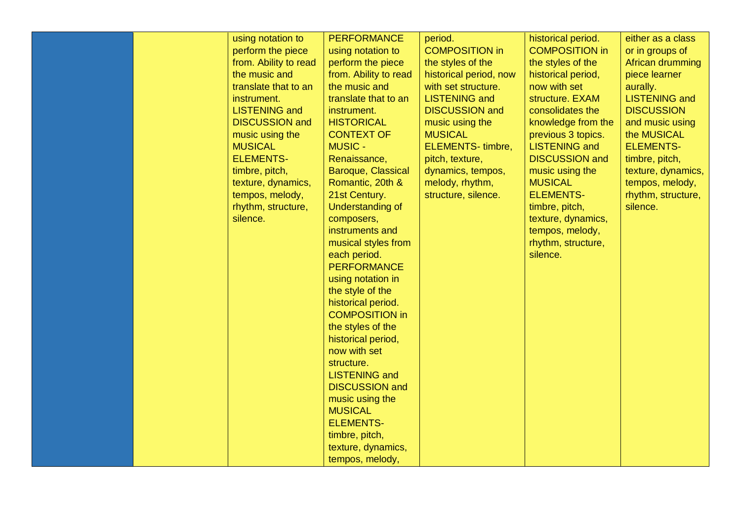|  | using notation to<br>perform the piece<br>from. Ability to read<br>the music and<br>translate that to an<br>instrument.<br><b>LISTENING and</b><br><b>DISCUSSION and</b><br>music using the<br><b>MUSICAL</b><br><b>ELEMENTS-</b><br>timbre, pitch,<br>texture, dynamics,<br>tempos, melody,<br>rhythm, structure,<br>silence. | <b>PERFORMANCE</b><br>using notation to<br>perform the piece<br>from. Ability to read<br>the music and<br>translate that to an<br>instrument.<br><b>HISTORICAL</b><br><b>CONTEXT OF</b><br><b>MUSIC -</b><br>Renaissance,<br>Baroque, Classical<br>Romantic, 20th &<br>21st Century.<br>Understanding of<br>composers,<br>instruments and<br>musical styles from<br>each period.<br><b>PERFORMANCE</b><br>using notation in<br>the style of the<br>historical period.<br><b>COMPOSITION in</b><br>the styles of the<br>historical period,<br>now with set | period.<br><b>COMPOSITION in</b><br>the styles of the<br>historical period, now<br>with set structure.<br><b>LISTENING and</b><br><b>DISCUSSION and</b><br>music using the<br><b>MUSICAL</b><br>ELEMENTS-timbre,<br>pitch, texture,<br>dynamics, tempos,<br>melody, rhythm,<br>structure, silence. | historical period.<br><b>COMPOSITION in</b><br>the styles of the<br>historical period,<br>now with set<br>structure. EXAM<br>consolidates the<br>knowledge from the<br>previous 3 topics.<br><b>LISTENING and</b><br><b>DISCUSSION and</b><br>music using the<br><b>MUSICAL</b><br><b>ELEMENTS-</b><br>timbre, pitch,<br>texture, dynamics,<br>tempos, melody,<br>rhythm, structure,<br>silence. | either as a class<br>or in groups of<br>African drumming<br>piece learner<br>aurally.<br><b>LISTENING and</b><br><b>DISCUSSION</b><br>and music using<br>the MUSICAL<br><b>ELEMENTS-</b><br>timbre, pitch,<br>texture, dynamics,<br>tempos, melody,<br>rhythm, structure,<br>silence. |
|--|--------------------------------------------------------------------------------------------------------------------------------------------------------------------------------------------------------------------------------------------------------------------------------------------------------------------------------|-----------------------------------------------------------------------------------------------------------------------------------------------------------------------------------------------------------------------------------------------------------------------------------------------------------------------------------------------------------------------------------------------------------------------------------------------------------------------------------------------------------------------------------------------------------|----------------------------------------------------------------------------------------------------------------------------------------------------------------------------------------------------------------------------------------------------------------------------------------------------|--------------------------------------------------------------------------------------------------------------------------------------------------------------------------------------------------------------------------------------------------------------------------------------------------------------------------------------------------------------------------------------------------|---------------------------------------------------------------------------------------------------------------------------------------------------------------------------------------------------------------------------------------------------------------------------------------|
|  |                                                                                                                                                                                                                                                                                                                                | structure.<br><b>LISTENING</b> and<br><b>DISCUSSION and</b><br>music using the<br><b>MUSICAL</b><br><b>ELEMENTS-</b><br>timbre, pitch,<br>texture, dynamics,<br>tempos, melody,                                                                                                                                                                                                                                                                                                                                                                           |                                                                                                                                                                                                                                                                                                    |                                                                                                                                                                                                                                                                                                                                                                                                  |                                                                                                                                                                                                                                                                                       |